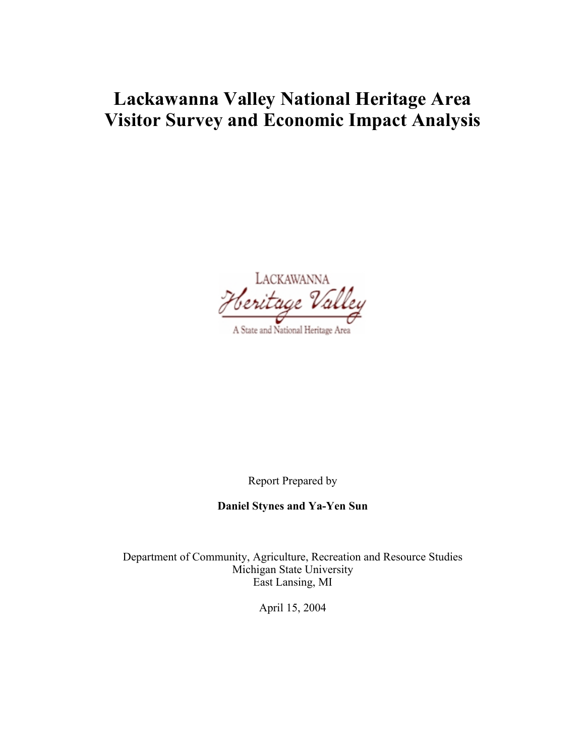# **Lackawanna Valley National Heritage Area Visitor Survey and Economic Impact Analysis**

LACKAWANNA A State and National Heritage Area

Report Prepared by

**Daniel Stynes and Ya-Yen Sun**

Department of Community, Agriculture, Recreation and Resource Studies Michigan State University East Lansing, MI

April 15, 2004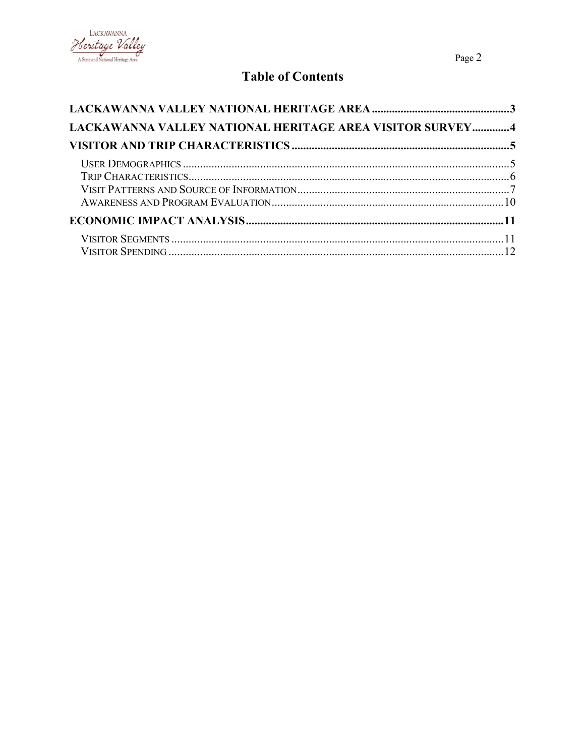

## **Table of Contents**

| LACKAWANNA VALLEY NATIONAL HERITAGE AREA VISITOR SURVEY4 |  |
|----------------------------------------------------------|--|
|                                                          |  |
|                                                          |  |
|                                                          |  |
|                                                          |  |
|                                                          |  |
|                                                          |  |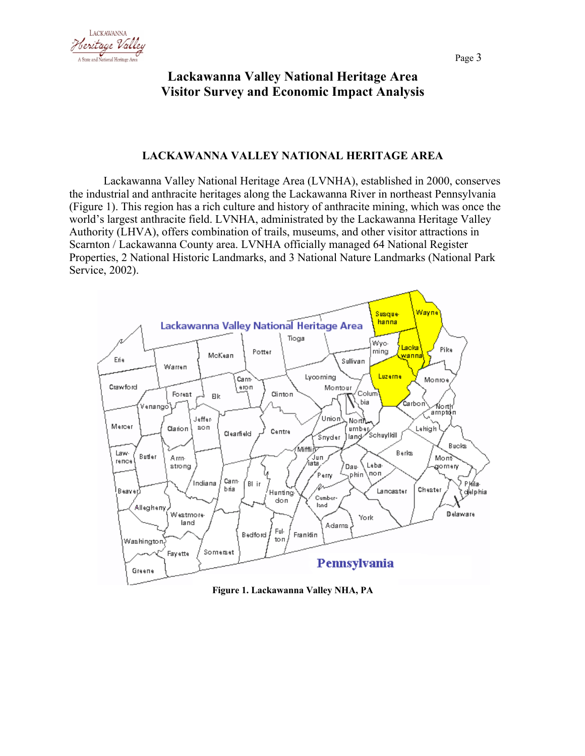



## **Lackawanna Valley National Heritage Area Visitor Survey and Economic Impact Analysis**

## **LACKAWANNA VALLEY NATIONAL HERITAGE AREA**

Lackawanna Valley National Heritage Area (LVNHA), established in 2000, conserves the industrial and anthracite heritages along the Lackawanna River in northeast Pennsylvania (Figure 1). This region has a rich culture and history of anthracite mining, which was once the world's largest anthracite field. LVNHA, administrated by the Lackawanna Heritage Valley Authority (LHVA), offers combination of trails, museums, and other visitor attractions in Scarnton / Lackawanna County area. LVNHA officially managed 64 National Register Properties, 2 National Historic Landmarks, and 3 National Nature Landmarks (National Park Service, 2002).



**Figure 1. Lackawanna Valley NHA, PA**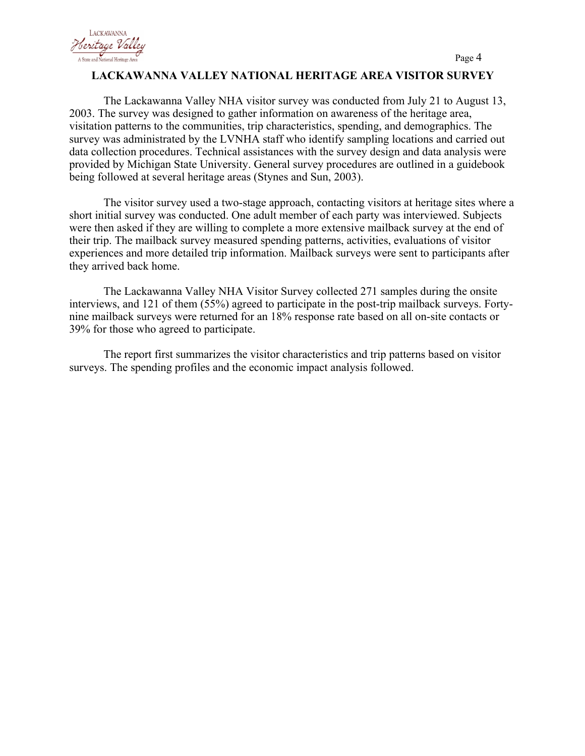

## **LACKAWANNA VALLEY NATIONAL HERITAGE AREA VISITOR SURVEY**

The Lackawanna Valley NHA visitor survey was conducted from July 21 to August 13, 2003. The survey was designed to gather information on awareness of the heritage area, visitation patterns to the communities, trip characteristics, spending, and demographics. The survey was administrated by the LVNHA staff who identify sampling locations and carried out data collection procedures. Technical assistances with the survey design and data analysis were provided by Michigan State University. General survey procedures are outlined in a guidebook being followed at several heritage areas (Stynes and Sun, 2003).

The visitor survey used a two-stage approach, contacting visitors at heritage sites where a short initial survey was conducted. One adult member of each party was interviewed. Subjects were then asked if they are willing to complete a more extensive mailback survey at the end of their trip. The mailback survey measured spending patterns, activities, evaluations of visitor experiences and more detailed trip information. Mailback surveys were sent to participants after they arrived back home.

The Lackawanna Valley NHA Visitor Survey collected 271 samples during the onsite interviews, and 121 of them (55%) agreed to participate in the post-trip mailback surveys. Fortynine mailback surveys were returned for an 18% response rate based on all on-site contacts or 39% for those who agreed to participate.

The report first summarizes the visitor characteristics and trip patterns based on visitor surveys. The spending profiles and the economic impact analysis followed.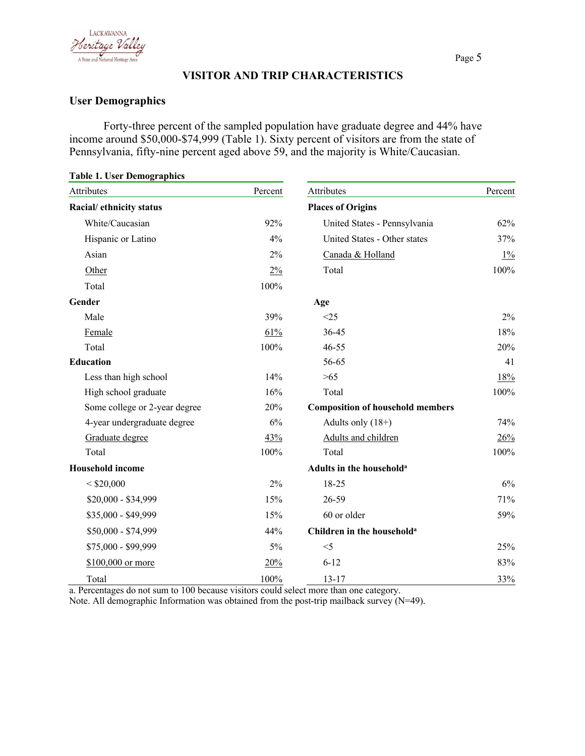

## **VISITOR AND TRIP CHARACTERISTICS**

## **User Demographics**

Forty-three percent of the sampled population have graduate degree and 44% have income around \$50,000-\$74,999 (Table 1). Sixty percent of visitors are from the state of Pennsylvania, fifty-nine percent aged above 59, and the majority is White/Caucasian.

| <b>Table 1. User Demographics</b> |         |                                         |         |
|-----------------------------------|---------|-----------------------------------------|---------|
| Attributes                        | Percent | Attributes                              | Percent |
| Racial/ ethnicity status          |         | <b>Places of Origins</b>                |         |
| White/Caucasian                   | 92%     | United States - Pennsylvania            | 62%     |
| Hispanic or Latino                | 4%      | United States - Other states            | 37%     |
| Asian                             | 2%      | Canada & Holland                        | $1\%$   |
| Other                             | 2%      | Total                                   | 100%    |
| Total                             | 100%    |                                         |         |
| Gender                            |         | Age                                     |         |
| Male                              | 39%     | <25                                     | 2%      |
| Female                            | 61%     | 36-45                                   | 18%     |
| Total                             | 100%    | $46 - 55$                               | 20%     |
| <b>Education</b>                  |         | 56-65                                   | 41      |
| Less than high school             | 14%     | $>65$                                   | 18%     |
| High school graduate              | 16%     | Total                                   | 100%    |
| Some college or 2-year degree     | 20%     | <b>Composition of household members</b> |         |
| 4-year undergraduate degree       | 6%      | Adults only $(18+)$                     | 74%     |
| Graduate degree                   | 43%     | Adults and children                     | 26%     |
| Total                             | 100%    | Total                                   | 100%    |
| <b>Household income</b>           |         | Adults in the household <sup>a</sup>    |         |
| $<$ \$20,000                      | 2%      | 18-25                                   | 6%      |
| \$20,000 - \$34,999               | 15%     | 26-59                                   | 71%     |
| \$35,000 - \$49,999               | 15%     | 60 or older                             | 59%     |
| \$50,000 - \$74,999               | 44%     | Children in the household <sup>a</sup>  |         |
| \$75,000 - \$99,999               | 5%      | $<$ 5                                   | 25%     |
| \$100,000 or more                 | 20%     | $6 - 12$                                | 83%     |
| Total                             | 100%    | $13 - 17$                               | 33%     |

a. Percentages do not sum to 100 because visitors could select more than one category.

Note. All demographic Information was obtained from the post-trip mailback survey (N=49).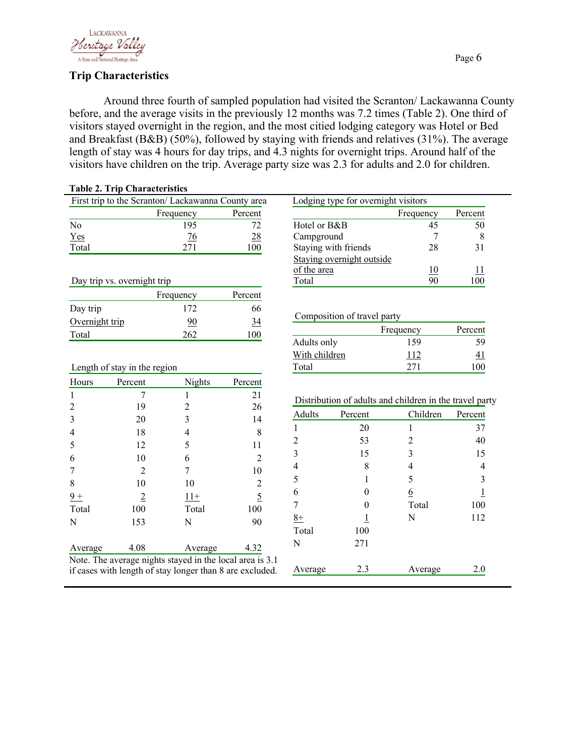

## **Trip Characteristics**

Around three fourth of sampled population had visited the Scranton/ Lackawanna County before, and the average visits in the previously 12 months was 7.2 times (Table 2). One third of visitors stayed overnight in the region, and the most citied lodging category was Hotel or Bed and Breakfast (B&B) (50%), followed by staying with friends and relatives (31%). The average length of stay was 4 hours for day trips, and 4.3 nights for overnight trips. Around half of the visitors have children on the trip. Average party size was 2.3 for adults and 2.0 for children.

|                | <b>Table 2. Trip Characteristics</b> |                                                          |                |                |                                     |                                                         |                |
|----------------|--------------------------------------|----------------------------------------------------------|----------------|----------------|-------------------------------------|---------------------------------------------------------|----------------|
|                |                                      | First trip to the Scranton/ Lackawanna County area       |                |                | Lodging type for overnight visitors |                                                         |                |
|                |                                      | Frequency                                                | Percent        |                |                                     | Frequency                                               | Percent        |
| N <sub>o</sub> |                                      | 195                                                      | 72             | Hotel or B&B   |                                     | 45                                                      | 50             |
| Yes            |                                      | $\frac{76}{9}$                                           | 28             | Campground     |                                     | 7                                                       | 8              |
| Total          |                                      | 271                                                      | 100            |                | Staying with friends                | 28                                                      | 31             |
|                |                                      |                                                          |                |                | Staying overnight outside           |                                                         |                |
|                |                                      |                                                          |                | of the area    |                                     | 10                                                      | 11             |
|                | Day trip vs. overnight trip          |                                                          |                | Total          |                                     | 90                                                      | 100            |
|                |                                      | Frequency                                                | Percent        |                |                                     |                                                         |                |
| Day trip       |                                      | 172                                                      | 66             |                |                                     |                                                         |                |
| Overnight trip |                                      | 90                                                       | 34             |                | Composition of travel party         |                                                         |                |
| Total          |                                      | 262                                                      | 100            |                |                                     | Frequency                                               | Percent        |
|                |                                      |                                                          |                | Adults only    |                                     | 159                                                     | 59             |
|                |                                      |                                                          |                | With children  |                                     | 112                                                     | 41             |
|                | Length of stay in the region         |                                                          |                | Total          |                                     | 271                                                     | 100            |
| Hours          | Percent                              | <b>Nights</b>                                            | Percent        |                |                                     |                                                         |                |
| $\mathbf{1}$   | 7                                    | 1                                                        | 21             |                |                                     | Distribution of adults and children in the travel party |                |
| $\overline{2}$ | 19                                   | $\overline{c}$                                           | 26             | <b>Adults</b>  |                                     | Children                                                |                |
| 3              | 20                                   | 3                                                        | 14             |                | Percent                             |                                                         | Percent        |
| 4              | 18                                   | 4                                                        | 8              | $\mathbf{1}$   | 20                                  | $\mathbf{1}$                                            | 37             |
| 5              | 12                                   | 5                                                        | 11             | $\overline{c}$ | 53                                  | $\overline{c}$                                          | 40             |
| 6              | 10                                   | 6                                                        | $\overline{2}$ | 3              | 15                                  | 3                                                       | 15             |
| 7              | 2                                    | 7                                                        | 10             | 4              | 8                                   | 4                                                       | $\overline{4}$ |
| $8\,$          | 10                                   | 10                                                       | $\overline{c}$ | 5              | 1                                   | 5                                                       | 3              |
| $9+$           | $\overline{2}$                       | $11+$                                                    | $\overline{5}$ | 6              | 0                                   | $6\overline{6}$                                         | $\overline{1}$ |
| Total          | 100                                  | Total                                                    | 100            | 7              | 0                                   | Total                                                   | 100            |
| N              | 153                                  | N                                                        | 90             | $8+$           | 1                                   | N                                                       | 112            |
|                |                                      |                                                          |                | Total          | 100                                 |                                                         |                |
| Average        | 4.08                                 | Average                                                  | 4.32           | N              | 271                                 |                                                         |                |
|                |                                      | Note. The average nights stayed in the local area is 3.1 |                |                |                                     |                                                         |                |
|                |                                      | if cases with length of stay longer than 8 are excluded. |                | Average        | 2.3                                 | Average                                                 | 2.0            |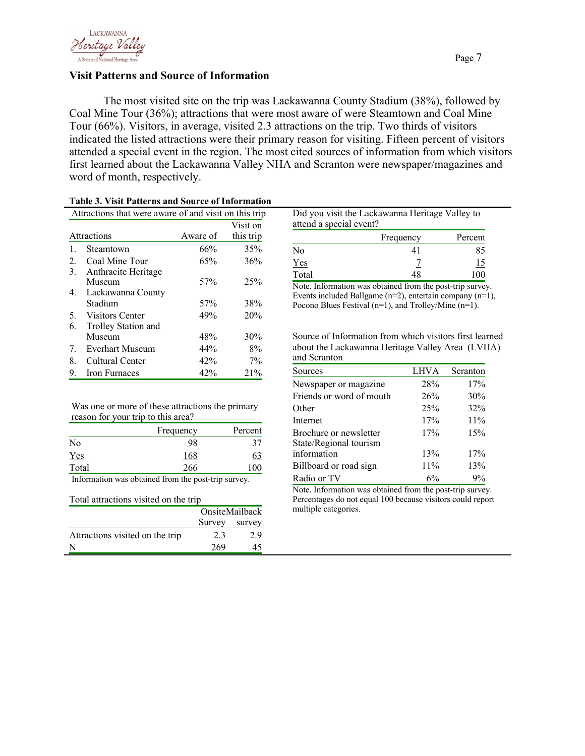

### **Visit Patterns and Source of Information**

The most visited site on the trip was Lackawanna County Stadium (38%), followed by Coal Mine Tour (36%); attractions that were most aware of were Steamtown and Coal Mine Tour (66%). Visitors, in average, visited 2.3 attractions on the trip. Two thirds of visitors indicated the listed attractions were their primary reason for visiting. Fifteen percent of visitors attended a special event in the region. The most cited sources of information from which visitors first learned about the Lackawanna Valley NHA and Scranton were newspaper/magazines and word of month, respectively.

|    | Attractions that were aware of and visit on this trip |          |           |
|----|-------------------------------------------------------|----------|-----------|
|    |                                                       |          | Visit on  |
|    | Attractions                                           | Aware of | this trip |
|    | Steamtown                                             | 66%      | 35%       |
| 2. | Coal Mine Tour                                        | 65%      | 36%       |
| 3. | Anthracite Heritage                                   |          |           |
|    | Museum                                                | 57%      | 25%       |
| 4. | Lackawanna County                                     |          |           |
|    | Stadium                                               | 57%      | 38%       |
| 5. | Visitors Center                                       | 49%      | 20%       |
| 6. | Trolley Station and                                   |          |           |
|    | Museum                                                | 48%      | 30%       |
| 7. | <b>Everhart Museum</b>                                | 44%      | 8%        |
| 8. | Cultural Center                                       | 42%      | $7\%$     |
| 9. | Iron Furnaces                                         | 42%      | 21%       |

#### **Table 3. Visit Patterns and Source of Information**

|       | Frequency | Percent   |
|-------|-----------|-----------|
| No    |           | 85        |
| Yes   |           | <u>15</u> |
| Total | 48        | 100       |

Did you visit the Lackawanna Heritage Valley to

Events included Ballgame  $(n=2)$ , entertain company  $(n=1)$ , Pocono Blues Festival (n=1), and Trolley/Mine (n=1).

Source of Information from which visitors first learned about the Lackawanna Heritage Valley Area (LVHA) and Scranton

| Sources                  | <b>LHVA</b> | Scranton |
|--------------------------|-------------|----------|
| Newspaper or magazine    | 28%         | 17%      |
| Friends or word of mouth | 26%         | 30%      |
| Other                    | 25%         | 32%      |
| Internet                 | 17%         | 11%      |
| Brochure or newsletter   | 17%         | 15%      |
| State/Regional tourism   |             |          |
| information              | 13%         | 17%      |
| Billboard or road sign   | 11%         | 13%      |
| Radio or TV              | 6%          | 9%       |

Note. Information was obtained from the post-trip survey. Percentages do not equal 100 because visitors could report multiple categories.

| Was one or more of these attractions the primary |  |
|--------------------------------------------------|--|
| reason for your trip to this area?               |  |

|            | Frequency | Percent   |
|------------|-----------|-----------|
| No         | 98        |           |
| <u>Yes</u> | 168       | <u>ს;</u> |
| Total      | 266       |           |

Information was obtained from the post-trip survey.

#### Total attractions visited on the trip

|                                 | OnsiteMailback |     |  |
|---------------------------------|----------------|-----|--|
|                                 | Survey survey  |     |  |
| Attractions visited on the trip | 2.3            | 2.9 |  |
|                                 | 269            | 45  |  |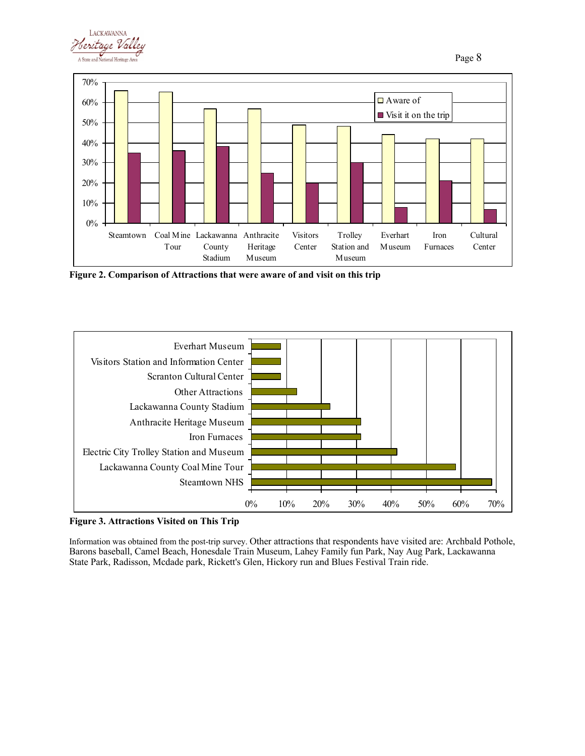



**Figure 2. Comparison of Attractions that were aware of and visit on this trip**



**Figure 3. Attractions Visited on This Trip**

Information was obtained from the post-trip survey. Other attractions that respondents have visited are: Archbald Pothole, Barons baseball, Camel Beach, Honesdale Train Museum, Lahey Family fun Park, Nay Aug Park, Lackawanna State Park, Radisson, Mcdade park, Rickett's Glen, Hickory run and Blues Festival Train ride.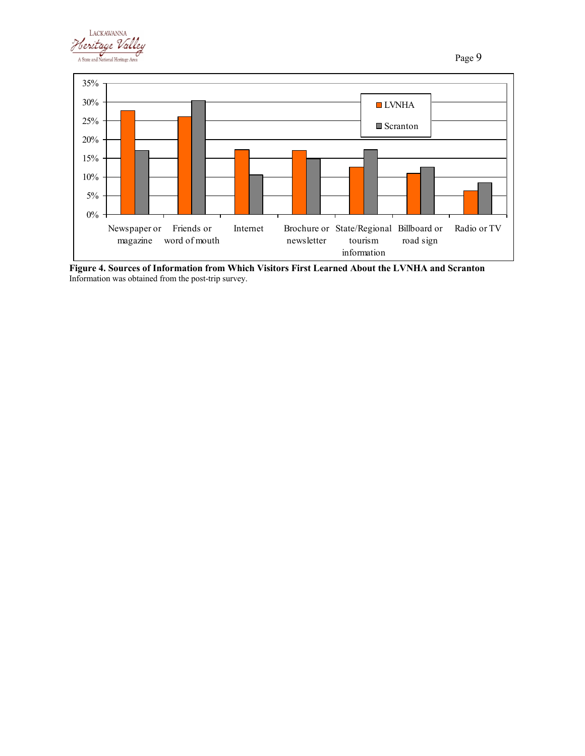



**Figure 4. Sources of Information from Which Visitors First Learned About the LVNHA and Scranton** Information was obtained from the post-trip survey.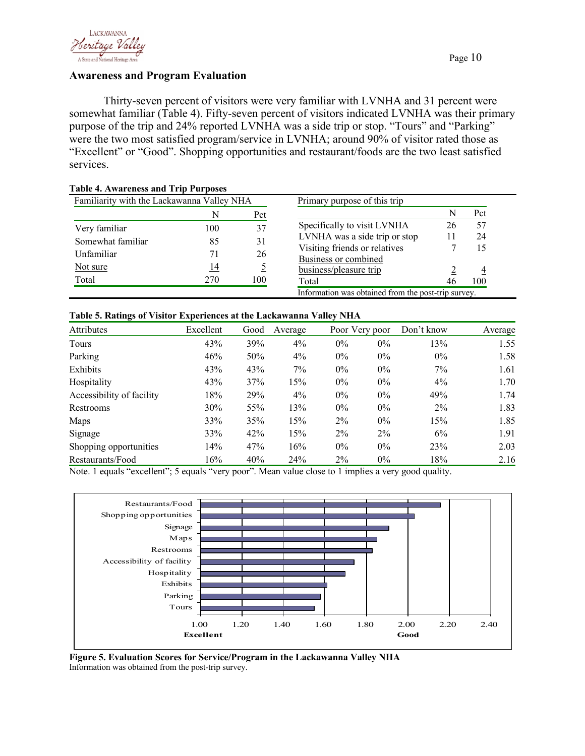

## **Awareness and Program Evaluation**

Thirty-seven percent of visitors were very familiar with LVNHA and 31 percent were somewhat familiar (Table 4). Fifty-seven percent of visitors indicated LVNHA was their primary purpose of the trip and 24% reported LVNHA was a side trip or stop. "Tours" and "Parking" were the two most satisfied program/service in LVNHA; around 90% of visitor rated those as "Excellent" or "Good". Shopping opportunities and restaurant/foods are the two least satisfied services.

|            |                 | Primary purpose of this trip                                 |    |     |
|------------|-----------------|--------------------------------------------------------------|----|-----|
| N          | Pct             |                                                              | N  | Pct |
|            |                 | Specifically to visit LVNHA                                  | 26 | 57  |
|            |                 | LVNHA was a side trip or stop                                | 11 | 24  |
|            |                 | Visiting friends or relatives                                |    | 15  |
|            |                 | Business or combined                                         |    |     |
| <u> 14</u> |                 | business/pleasure trip                                       |    |     |
| 270        | 100             | Total                                                        | 46 | 100 |
|            | 100<br>85<br>71 | Familiarity with the Lackawanna Valley NHA<br>37<br>31<br>26 |    |     |

## **Table 4. Awareness and Trip Purposes**

## **Table 5. Ratings of Visitor Experiences at the Lackawanna Valley NHA**

| Attributes                | Excellent | Good | Average | Poor Very poor |       | Don't know | Average |  |
|---------------------------|-----------|------|---------|----------------|-------|------------|---------|--|
| Tours                     | 43%       | 39%  | $4\%$   | $0\%$          | $0\%$ | 13%        | 1.55    |  |
| Parking                   | 46%       | 50%  | $4\%$   | $0\%$          | $0\%$ | $0\%$      | 1.58    |  |
| Exhibits                  | 43%       | 43%  | 7%      | $0\%$          | $0\%$ | 7%         | 1.61    |  |
| Hospitality               | 43%       | 37%  | 15%     | $0\%$          | $0\%$ | $4\%$      | 1.70    |  |
| Accessibility of facility | 18%       | 29%  | $4\%$   | $0\%$          | $0\%$ | 49%        | 1.74    |  |
| Restrooms                 | 30%       | 55%  | 13%     | $0\%$          | $0\%$ | $2\%$      | 1.83    |  |
| Maps                      | 33%       | 35%  | 15%     | $2\%$          | $0\%$ | 15%        | 1.85    |  |
| Signage                   | 33%       | 42%  | 15%     | $2\%$          | $2\%$ | 6%         | 1.91    |  |
| Shopping opportunities    | 14%       | 47%  | 16%     | $0\%$          | $0\%$ | 23%        | 2.03    |  |
| Restaurants/Food          | 16%       | 40%  | 24%     | $2\%$          | $0\%$ | 18%        | 2.16    |  |

Note. 1 equals "excellent"; 5 equals "very poor". Mean value close to 1 implies a very good quality.



**Figure 5. Evaluation Scores for Service/Program in the Lackawanna Valley NHA** Information was obtained from the post-trip survey.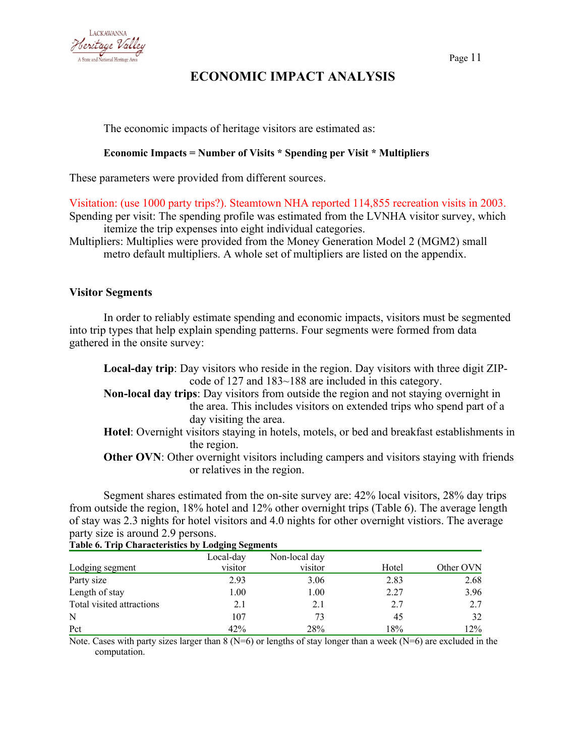

## **ECONOMIC IMPACT ANALYSIS**

The economic impacts of heritage visitors are estimated as:

## **Economic Impacts = Number of Visits \* Spending per Visit \* Multipliers**

These parameters were provided from different sources.

Visitation: (use 1000 party trips?). Steamtown NHA reported 114,855 recreation visits in 2003.

Spending per visit: The spending profile was estimated from the LVNHA visitor survey, which itemize the trip expenses into eight individual categories.

Multipliers: Multiplies were provided from the Money Generation Model 2 (MGM2) small metro default multipliers. A whole set of multipliers are listed on the appendix.

## **Visitor Segments**

In order to reliably estimate spending and economic impacts, visitors must be segmented into trip types that help explain spending patterns. Four segments were formed from data gathered in the onsite survey:

| <b>Local-day trip:</b> Day visitors who reside in the region. Day visitors with three digit ZIP-   |
|----------------------------------------------------------------------------------------------------|
| code of 127 and 183~188 are included in this category.                                             |
| Non-local day trips: Day visitors from outside the region and not staying overnight in             |
| the area. This includes visitors on extended trips who spend part of a                             |
| day visiting the area.                                                                             |
| <b>Hotel:</b> Overnight visitors staying in hotels, motels, or bed and breakfast establishments in |
| the region.                                                                                        |
| <b>Other OVN:</b> Other overnight visitors including campers and visitors staying with friends     |
| or relatives in the region.                                                                        |

Segment shares estimated from the on-site survey are: 42% local visitors, 28% day trips from outside the region, 18% hotel and 12% other overnight trips (Table 6). The average length of stay was 2.3 nights for hotel visitors and 4.0 nights for other overnight vistiors. The average party size is around 2.9 persons.

|                           | Local-day | Non-local day |       |           |
|---------------------------|-----------|---------------|-------|-----------|
| Lodging segment           | visitor   | visitor       | Hotel | Other OVN |
| Party size                | 2.93      | 3.06          | 2.83  | 2.68      |
| Length of stay            | 1.00      | 1.00          | 2.27  | 3.96      |
| Total visited attractions | 2.1       | 2.1           | 2.7   | 2.7       |
| N                         | 107       | 73            | 45    | 32        |
| Pct                       | 42%       | 28%           | 18%   | 12%       |

**Table 6. Trip Characteristics by Lodging Segments**

Note. Cases with party sizes larger than 8 ( $N=6$ ) or lengths of stay longer than a week ( $N=6$ ) are excluded in the computation.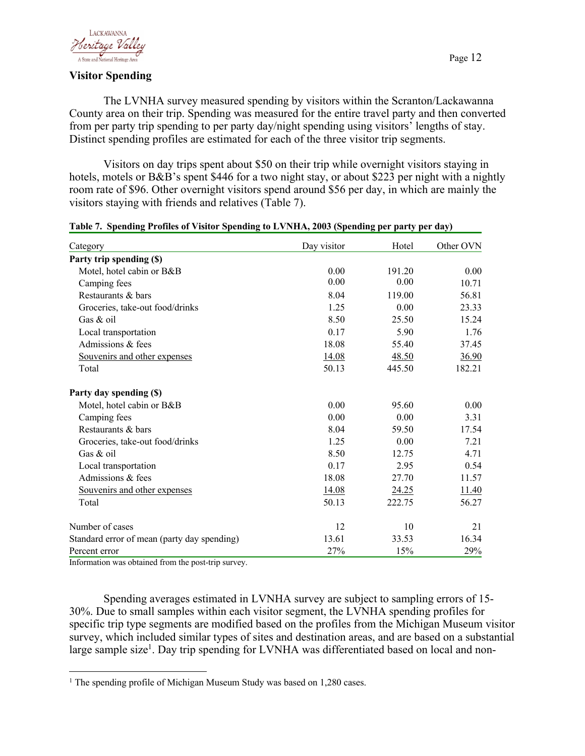

### **Visitor Spending**

The LVNHA survey measured spending by visitors within the Scranton/Lackawanna County area on their trip. Spending was measured for the entire travel party and then converted from per party trip spending to per party day/night spending using visitors' lengths of stay. Distinct spending profiles are estimated for each of the three visitor trip segments.

Visitors on day trips spent about \$50 on their trip while overnight visitors staying in hotels, motels or B&B's spent \$446 for a two night stay, or about \$223 per night with a nightly room rate of \$96. Other overnight visitors spend around \$56 per day, in which are mainly the visitors staying with friends and relatives (Table 7).

| Category                                    | Day visitor | Hotel  | Other OVN |
|---------------------------------------------|-------------|--------|-----------|
| Party trip spending (\$)                    |             |        |           |
| Motel, hotel cabin or B&B                   | 0.00        | 191.20 | 0.00      |
| Camping fees                                | 0.00        | 0.00   | 10.71     |
| Restaurants & bars                          | 8.04        | 119.00 | 56.81     |
| Groceries, take-out food/drinks             | 1.25        | 0.00   | 23.33     |
| Gas $&$ oil                                 | 8.50        | 25.50  | 15.24     |
| Local transportation                        | 0.17        | 5.90   | 1.76      |
| Admissions & fees                           | 18.08       | 55.40  | 37.45     |
| Souvenirs and other expenses                | 14.08       | 48.50  | 36.90     |
| Total                                       | 50.13       | 445.50 | 182.21    |
| Party day spending (\$)                     |             |        |           |
| Motel, hotel cabin or B&B                   | 0.00        | 95.60  | 0.00      |
| Camping fees                                | 0.00        | 0.00   | 3.31      |
| Restaurants & bars                          | 8.04        | 59.50  | 17.54     |
| Groceries, take-out food/drinks             | 1.25        | 0.00   | 7.21      |
| Gas & oil                                   | 8.50        | 12.75  | 4.71      |
| Local transportation                        | 0.17        | 2.95   | 0.54      |
| Admissions & fees                           | 18.08       | 27.70  | 11.57     |
| Souvenirs and other expenses                | 14.08       | 24.25  | 11.40     |
| Total                                       | 50.13       | 222.75 | 56.27     |
| Number of cases                             | 12          | 10     | 21        |
| Standard error of mean (party day spending) | 13.61       | 33.53  | 16.34     |
| Percent error                               | 27%         | 15%    | 29%       |

## **Table 7. Spending Profiles of Visitor Spending to LVNHA, 2003 (Spending per party per day)**

Information was obtained from the post-trip survey.

Spending averages estimated in LVNHA survey are subject to sampling errors of 15- 30%. Due to small samples within each visitor segment, the LVNHA spending profiles for specific trip type segments are modified based on the profiles from the Michigan Museum visitor survey, which included similar types of sites and destination areas, and are based on a substantial large sample size<sup>1</sup>. Day trip spending for LVNHA was differentiated based on local and non-

<sup>&</sup>lt;sup>1</sup> The spending profile of Michigan Museum Study was based on 1,280 cases.